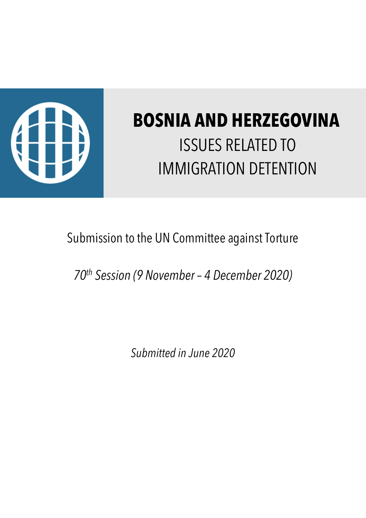

# **BOSNIA AND HERZEGOVINA** ISSUES RELATED TO IMMIGRATION DETENTION

## Submission to the UN Committee against Torture

*70th Session (9 November – 4 December 2020)*

*Submitted in June 2020*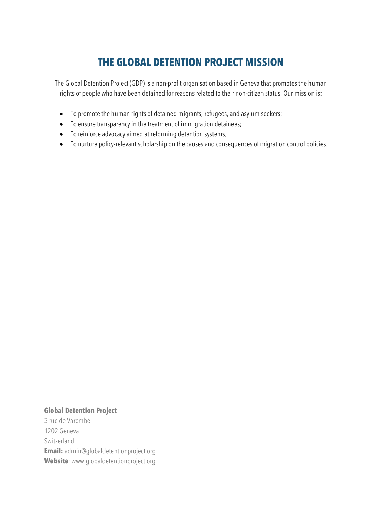### **THE GLOBAL DETENTION PROJECT MISSION**

The Global Detention Project (GDP) is a non-profit organisation based in Geneva that promotes the human rights of people who have been detained for reasons related to their non-citizen status. Our mission is:

- To promote the human rights of detained migrants, refugees, and asylum seekers;
- To ensure transparency in the treatment of immigration detainees;
- To reinforce advocacy aimed at reforming detention systems;
- To nurture policy-relevant scholarship on the causes and consequences of migration control policies.

#### **Global Detention Project**

3 rue de Varembé 1202 Geneva Switzerland **Email:** admin@globaldetentionproject.org **Website**: www.globaldetentionproject.org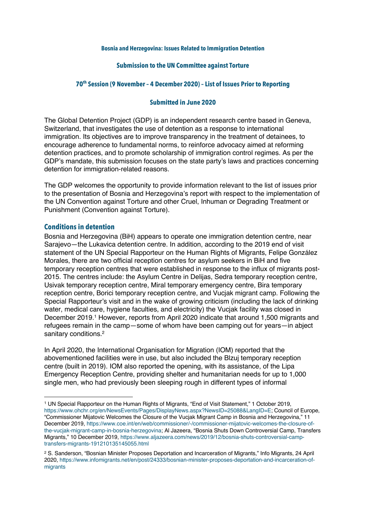#### **Bosnia and Herzegovina: Issues Related to Immigration Detention**

#### **Submission to the UN Committee against Torture**

#### **70th Session (9 November – 4 December 2020) – List of Issues Prior to Reporting**

#### **Submitted in June 2020**

The Global Detention Project (GDP) is an independent research centre based in Geneva, Switzerland, that investigates the use of detention as a response to international immigration. Its objectives are to improve transparency in the treatment of detainees, to encourage adherence to fundamental norms, to reinforce advocacy aimed at reforming detention practices, and to promote scholarship of immigration control regimes. As per the GDP's mandate, this submission focuses on the state party's laws and practices concerning detention for immigration-related reasons.

The GDP welcomes the opportunity to provide information relevant to the list of issues prior to the presentation of Bosnia and Herzegovina's report with respect to the implementation of the UN Convention against Torture and other Cruel, Inhuman or Degrading Treatment or Punishment (Convention against Torture).

#### **Conditions in detention**

Bosnia and Herzegovina (BiH) appears to operate one immigration detention centre, near Sarajevo—the Lukavica detention centre. In addition, according to the 2019 end of visit statement of the UN Special Rapporteur on the Human Rights of Migrants, Felipe González Morales, there are two official reception centres for asylum seekers in BiH and five temporary reception centres that were established in response to the influx of migrants post-2015. The centres include: the Asylum Centre in Delijas, Sedra temporary reception centre, Usivak temporary reception centre, Miral temporary emergency centre, Bira temporary reception centre, Borici temporary reception centre, and Vucjak migrant camp. Following the Special Rapporteur's visit and in the wake of growing criticism (including the lack of drinking water, medical care, hygiene faculties, and electricity) the Vucjak facility was closed in December 2019.1 However, reports from April 2020 indicate that around 1,500 migrants and refugees remain in the camp—some of whom have been camping out for years—in abject sanitary conditions.<sup>2</sup>

In April 2020, the International Organisation for Migration (IOM) reported that the abovementioned facilities were in use, but also included the Blzuj temporary reception centre (built in 2019). IOM also reported the opening, with its assistance, of the Lipa Emergency Reception Centre, providing shelter and humanitarian needs for up to 1,000 single men, who had previously been sleeping rough in different types of informal

<sup>1</sup> UN Special Rapporteur on the Human Rights of Migrants, "End of Visit Statement," 1 October 2019, https://www.ohchr.org/en/NewsEvents/Pages/DisplayNews.aspx?NewsID=25088&LangID=E; Council of Europe, "Commissioner Mijatovic Welcomes the Closure of the Vucjak Migrant Camp in Bosnia and Herzegovina," 11 December 2019, https://www.coe.int/en/web/commissioner/-/commissioner-mijatovic-welcomes-the-closure-ofthe-vucjak-migrant-camp-in-bosnia-herzegovina; Al Jazeera, "Bosnia Shuts Down Controversial Camp, Transfers Migrants," 10 December 2019, https://www.aljazeera.com/news/2019/12/bosnia-shuts-controversial-camptransfers-migrants-191210135145055.html

<sup>2</sup> S. Sanderson, "Bosnian Minister Proposes Deportation and Incarceration of Migrants," Info Migrants, 24 April 2020, https://www.infomigrants.net/en/post/24333/bosnian-minister-proposes-deportation-and-incarceration-ofmigrants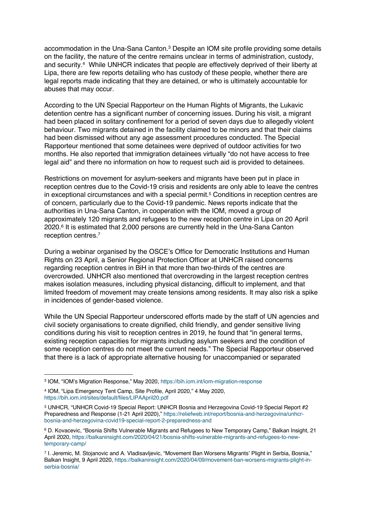accommodation in the Una-Sana Canton.3 Despite an IOM site profile providing some details on the facility, the nature of the centre remains unclear in terms of administration, custody, and security.<sup>4</sup> While UNHCR indicates that people are effectively deprived of their liberty at Lipa, there are few reports detailing who has custody of these people, whether there are legal reports made indicating that they are detained, or who is ultimately accountable for abuses that may occur.

According to the UN Special Rapporteur on the Human Rights of Migrants, the Lukavic detention centre has a significant number of concerning issues. During his visit, a migrant had been placed in solitary confinement for a period of seven days due to allegedly violent behaviour. Two migrants detained in the facility claimed to be minors and that their claims had been dismissed without any age assessment procedures conducted. The Special Rapporteur mentioned that some detainees were deprived of outdoor activities for two months. He also reported that immigration detainees virtually "do not have access to free legal aid" and there no information on how to request such aid is provided to detainees.

Restrictions on movement for asylum-seekers and migrants have been put in place in reception centres due to the Covid-19 crisis and residents are only able to leave the centres in exceptional circumstances and with a special permit.<sup>5</sup> Conditions in reception centres are of concern, particularly due to the Covid-19 pandemic. News reports indicate that the authorities in Una-Sana Canton, in cooperation with the IOM, moved a group of approximately 120 migrants and refugees to the new reception centre in Lipa on 20 April 2020.6 It is estimated that 2,000 persons are currently held in the Una-Sana Canton reception centres.7

During a webinar organised by the OSCE's Office for Democratic Institutions and Human Rights on 23 April, a Senior Regional Protection Officer at UNHCR raised concerns regarding reception centres in BiH in that more than two-thirds of the centres are overcrowded. UNHCR also mentioned that overcrowding in the largest reception centres makes isolation measures, including physical distancing, difficult to implement, and that limited freedom of movement may create tensions among residents. It may also risk a spike in incidences of gender-based violence.

While the UN Special Rapporteur underscored efforts made by the staff of UN agencies and civil society organisations to create dignified, child friendly, and gender sensitive living conditions during his visit to reception centres in 2019, he found that "in general terms, existing reception capacities for migrants including asylum seekers and the condition of some reception centres do not meet the current needs." The Special Rapporteur observed that there is a lack of appropriate alternative housing for unaccompanied or separated

<sup>3</sup> IOM, "IOM's Migration Response," May 2020, https://bih.iom.int/iom-migration-response

<sup>4</sup> IOM, "Lipa Emergency Tent Camp, Site Profile, April 2020," 4 May 2020, https://bih.iom.int/sites/default/files/LIPAApril20.pdf

<sup>3</sup> UNHCR, "UNHCR Covid-19 Special Report: UNHCR Bosnia and Herzegovina Covid-19 Special Report #2 Preparedness and Response (1-21 April 2020)," https://reliefweb.int/report/bosnia-and-herzegovina/unhcrbosnia-and-herzegovina-covid19-special-report-2-preparedness-and

<sup>6</sup> D. Kovacevic, "Bosnia Shifts Vulnerable Migrants and Refugees to New Temporary Camp," Balkan Insight, 21 April 2020, https://balkaninsight.com/2020/04/21/bosnia-shifts-vulnerable-migrants-and-refugees-to-newtemporary-camp/

<sup>7</sup> I. Jeremic, M. Stojanovic and A. Vladisavljevic, "Movement Ban Worsens Migrants' Plight in Serbia, Bosnia," Balkan Insight, 9 April 2020, https://balkaninsight.com/2020/04/09/movement-ban-worsens-migrants-plight-inserbia-bosnia/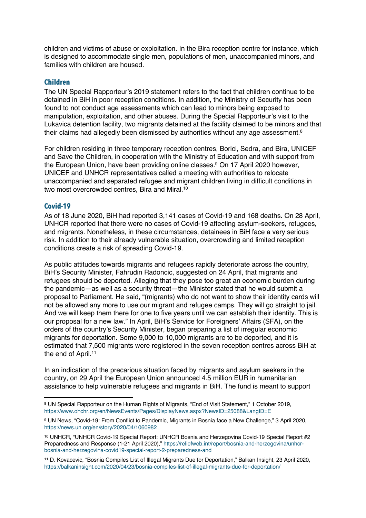children and victims of abuse or exploitation. In the Bira reception centre for instance, which is designed to accommodate single men, populations of men, unaccompanied minors, and families with children are housed.

#### **Children**

The UN Special Rapporteur's 2019 statement refers to the fact that children continue to be detained in BiH in poor reception conditions. In addition, the Ministry of Security has been found to not conduct age assessments which can lead to minors being exposed to manipulation, exploitation, and other abuses. During the Special Rapporteur's visit to the Lukavica detention facility, two migrants detained at the facility claimed to be minors and that their claims had allegedly been dismissed by authorities without any age assessment.<sup>8</sup>

For children residing in three temporary reception centres, Borici, Sedra, and Bira, UNICEF and Save the Children, in cooperation with the Ministry of Education and with support from the European Union, have been providing online classes.<sup>9</sup> On 17 April 2020 however, UNICEF and UNHCR representatives called a meeting with authorities to relocate unaccompanied and separated refugee and migrant children living in difficult conditions in two most overcrowded centres, Bira and Miral.10

#### **Covid-19**

As of 18 June 2020, BiH had reported 3,141 cases of Covid-19 and 168 deaths. On 28 April, UNHCR reported that there were no cases of Covid-19 affecting asylum-seekers, refugees, and migrants. Nonetheless, in these circumstances, detainees in BiH face a very serious risk. In addition to their already vulnerable situation, overcrowding and limited reception conditions create a risk of spreading Covid-19.

As public attitudes towards migrants and refugees rapidly deteriorate across the country, BiH's Security Minister, Fahrudin Radoncic, suggested on 24 April, that migrants and refugees should be deported. Alleging that they pose too great an economic burden during the pandemic—as well as a security threat—the Minister stated that he would submit a proposal to Parliament. He said, "(migrants) who do not want to show their identity cards will not be allowed any more to use our migrant and refugee camps. They will go straight to jail. And we will keep them there for one to five years until we can establish their identity. This is our proposal for a new law." In April, BiH's Service for Foreigners' Affairs (SFA), on the orders of the country's Security Minister, began preparing a list of irregular economic migrants for deportation. Some 9,000 to 10,000 migrants are to be deported, and it is estimated that 7,500 migrants were registered in the seven reception centres across BiH at the end of April.<sup>11</sup>

In an indication of the precarious situation faced by migrants and asylum seekers in the country, on 29 April the European Union announced 4.5 million EUR in humanitarian assistance to help vulnerable refugees and migrants in BiH. The fund is meant to support

<sup>8</sup> UN Special Rapporteur on the Human Rights of Migrants, "End of Visit Statement," 1 October 2019, https://www.ohchr.org/en/NewsEvents/Pages/DisplayNews.aspx?NewsID=25088&LangID=E

<sup>9</sup> UN News, "Covid-19: From Conflict to Pandemic, Migrants in Bosnia face a New Challenge," 3 April 2020, https://news.un.org/en/story/2020/04/1060982

<sup>10</sup> UNHCR, "UNHCR Covid-19 Special Report: UNHCR Bosnia and Herzegovina Covid-19 Special Report #2 Preparedness and Response (1-21 April 2020)," https://reliefweb.int/report/bosnia-and-herzegovina/unhcrbosnia-and-herzegovina-covid19-special-report-2-preparedness-and

<sup>11</sup> D. Kovacevic, "Bosnia Compiles List of Illegal Migrants Due for Deportation," Balkan Insight, 23 April 2020, https://balkaninsight.com/2020/04/23/bosnia-compiles-list-of-illegal-migrants-due-for-deportation/